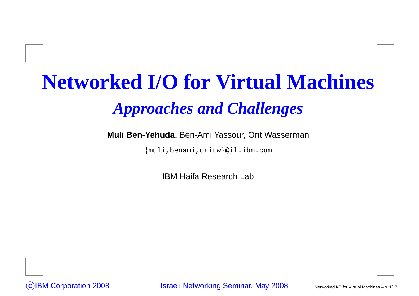# **Networked I/O for Virtual Machines***Approaches and Challenges*

#### **Muli Ben-Yehuda**, Ben-Ami Yassour, Orit Wasserman

{muli,benami,oritw}@il.ibm.com

IBM Haifa Research Lab

CIBM Corporation 2008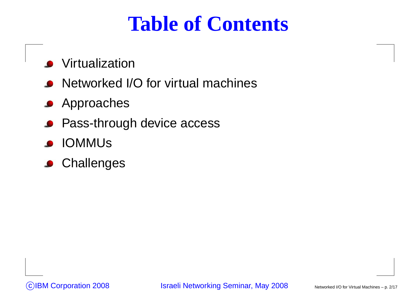#### **Table of Contents**

- **Virtualization**
- Networked I/O for virtual machines $\bullet$
- **Approaches**
- Pass-through device access
- IOMMUs $\bullet$
- **Challenges**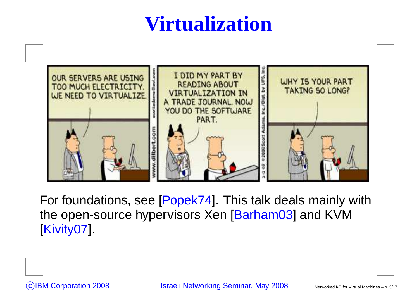## **Virtualization**



For foundations, see [Popek74]. This talk deals mainly withthe open-source hypervisors Xen [Barham03] and KVM[Kivity07].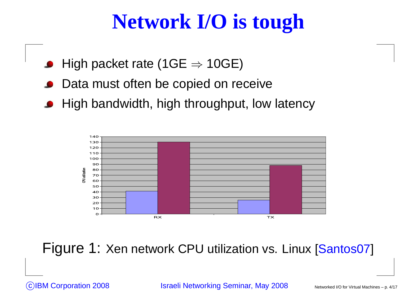## **Network I/O is tough**

- High packet rate (1GE  $\Rightarrow$  10GE)<br>P
- Data must often be copied on receive
- High bandwidth, high throughput, low latency



Figure 1: Xen network CPU utilization vs. Linux [Santos07]

(c)IBM Corporation 2008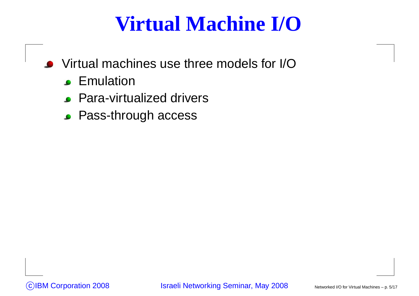## **Virtual Machine I/O**

- Virtual machines use three models for I/O
	- **Emulation**
	- Para-virtualized drivers
	- **Pass-through access**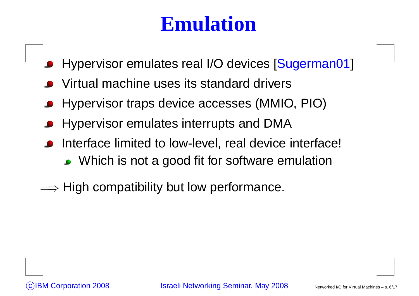#### **Emulation**

- Hypervisor emulates real I/O devices [Sugerman01]
- Virtual machine uses its standard drivers
- Hypervisor traps device accesses (MMIO, PIO)
- Hypervisor emulates interrupts and DMA
- Interface limited to low-level, real device interface! • Which is not a good fit for software emulation
- $\Longrightarrow$  High compatibility but low performance.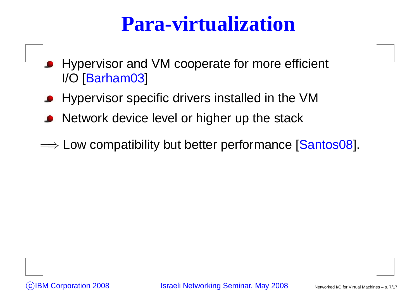#### **Para-virtualization**

- Hypervisor and VM cooperate for more efficient I/O [Barham03]
- Hypervisor specific drivers installed in the VM
- Network device level or higher up the stack
- $\Longrightarrow$  Low compatibility but better performance [Santos08].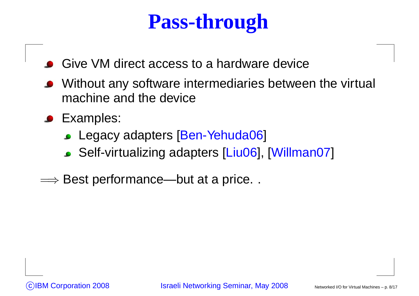## **Pass-through**

- Give VM direct access to <sup>a</sup> hardware device
- Without any software intermediaries between the virtual machine and the device
- **C** Examples:
	- Legacy adapters [Ben-Yehuda06]
	- Self-virtualizing adapters [Liu06], [Willman07]
- $\Longrightarrow$  Best performance—but at a price...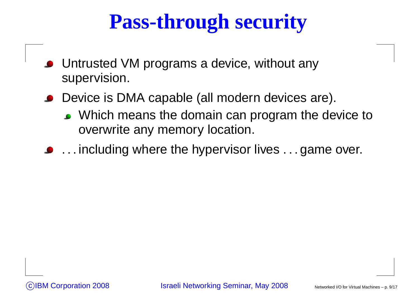# **Pass-through security**

- Untrusted VM programs <sup>a</sup> device, without anysupervision.
- Device is DMA capable (all modern devices are).
	- Which means the domain can program the device to overwrite any memory location.
- **.** . . . including where the hypervisor lives . . . game over.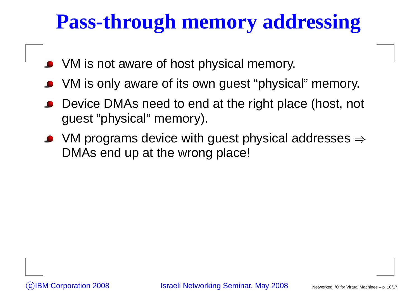# **Pass-through memory addressing**

- VM is not aware of host physical memory.
- VM is only aware of its own guest "physical" memory.
- Device DMAs need to end at the right place (host, not guest "physical" memory).
- VM programs device with guest physical addresses  $\Rightarrow$ DMAs end up at the wrong place!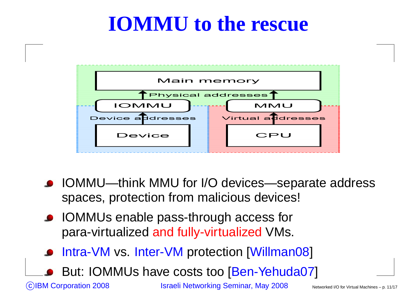#### **IOMMU to the rescue**



- IOMMU—think MMU for I/O devices—separate address spaces, protection from malicious devices!
- **IOMMUs enable pass-through access for** para-virtualized and fully-virtualized VMs.
- Intra-VM vs. Inter-VM protection [Willman08]
- But: IOMMUs have costs too [Ben-Yehuda07]

(c)IBM Corporation 2008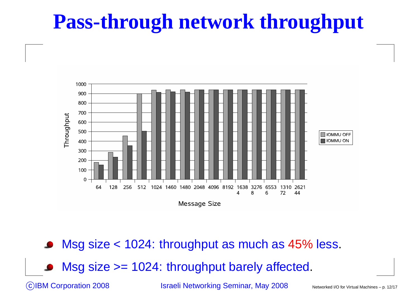## **Pass-through network throughput**



Msg size <sup>&</sup>lt; 1024: throughput as much as 45% less.

Msg size >= 1024: throughput barely affected.

CIBM Corporation 2008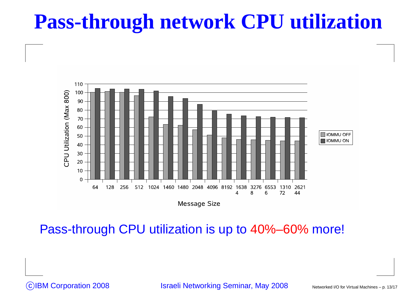#### **Pass-through network CPU utilization**



Pass-through CPU utilization is up to 40%–60% more!

CIBM Corporation 2008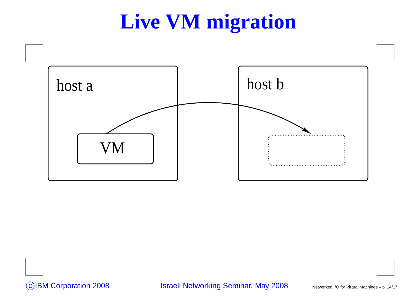## **Live VM migration**

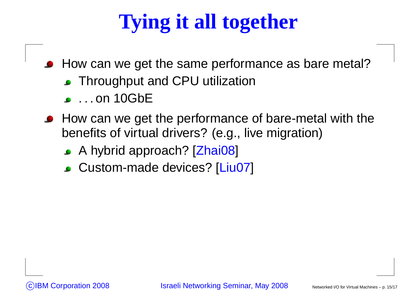# **Tying it all together**

How can we get the same performance as bare metal?

- Throughput and CPU utilization
- **.** . . . on 10GbE
- **How can we get the performance of bare-metal with the** benefits of virtual drivers? (e.g., live migration)
	- A hybrid approach? [Zhai08]
	- Custom-made devices? [Liu07]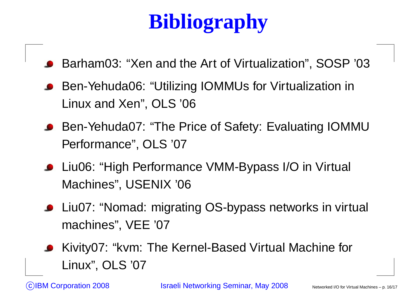# **Bibliography**

- Barham03: "Xen and the Art of Virtualization", SOSP '03
- Ben-Yehuda06: "Utilizing IOMMUs for Virtualization inLinux and Xen", OLS '06
- Ben-Yehuda07: "The Price of Safety: Evaluating IOMMU Performance", OLS '07
- Liu06: "High Performance VMM-Bypass I/O in Virtual Machines", USENIX '06
- Liu07: "Nomad: migrating OS-bypass networks in virtual machines", VEE '07
- Kivity07: "kvm: The Kernel-Based Virtual Machine forLinux", OLS '07

 $\bigodot$